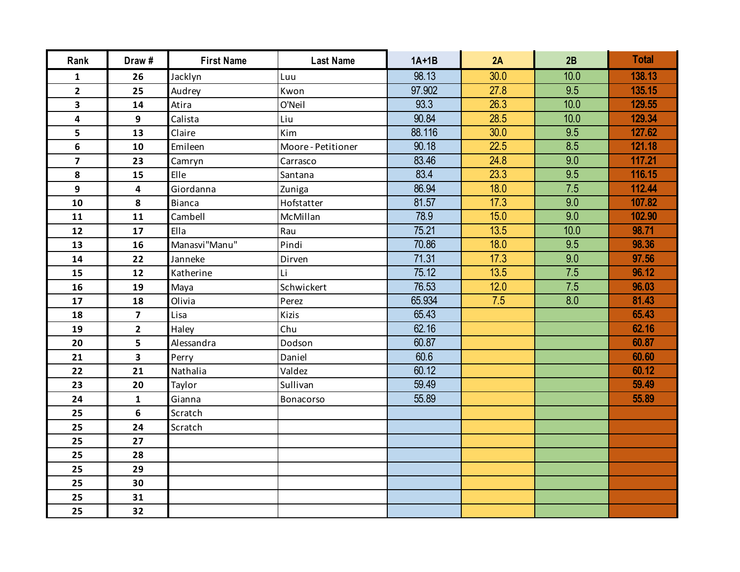| Rank                    | Draw#                   | <b>First Name</b> | <b>Last Name</b>   | $1A+1B$ | 2A   | 2B               | <b>Total</b> |
|-------------------------|-------------------------|-------------------|--------------------|---------|------|------------------|--------------|
| $\mathbf{1}$            | 26                      | Jacklyn           | Luu                | 98.13   | 30.0 | 10.0             | 138.13       |
| $\overline{2}$          | 25                      | Audrey            | Kwon               | 97.902  | 27.8 | $\overline{9.5}$ | 135.15       |
| 3                       | 14                      | Atira             | O'Neil             | 93.3    | 26.3 | 10.0             | 129.55       |
| 4                       | 9                       | Calista           | Liu                | 90.84   | 28.5 | 10.0             | 129.34       |
| 5                       | 13                      | Claire            | Kim                | 88.116  | 30.0 | 9.5              | 127.62       |
| 6                       | 10                      | Emileen           | Moore - Petitioner | 90.18   | 22.5 | 8.5              | 121.18       |
| $\overline{\mathbf{z}}$ | 23                      | Camryn            | Carrasco           | 83.46   | 24.8 | 9.0              | 117.21       |
| 8                       | 15                      | Elle              | Santana            | 83.4    | 23.3 | 9.5              | 116.15       |
| 9                       | 4                       | Giordanna         | Zuniga             | 86.94   | 18.0 | 7.5              | 112.44       |
| 10                      | 8                       | <b>Bianca</b>     | Hofstatter         | 81.57   | 17.3 | 9.0              | 107.82       |
| 11                      | 11                      | Cambell           | McMillan           | 78.9    | 15.0 | $\overline{9.0}$ | 102.90       |
| 12                      | 17                      | Ella              | Rau                | 75.21   | 13.5 | 10.0             | 98.71        |
| 13                      | 16                      | Manasvi"Manu"     | Pindi              | 70.86   | 18.0 | 9.5              | 98.36        |
| 14                      | 22                      | Janneke           | Dirven             | 71.31   | 17.3 | 9.0              | 97.56        |
| 15                      | 12                      | Katherine         | Li                 | 75.12   | 13.5 | 7.5              | 96.12        |
| 16                      | 19                      | Maya              | Schwickert         | 76.53   | 12.0 | 7.5              | 96.03        |
| 17                      | 18                      | Olivia            | Perez              | 65.934  | 7.5  | 8.0              | 81.43        |
| 18                      | $\overline{\mathbf{z}}$ | Lisa              | Kizis              | 65.43   |      |                  | 65.43        |
| 19                      | $\overline{2}$          | Haley             | Chu                | 62.16   |      |                  | 62.16        |
| 20                      | 5                       | Alessandra        | Dodson             | 60.87   |      |                  | 60.87        |
| 21                      | 3                       | Perry             | Daniel             | 60.6    |      |                  | 60.60        |
| 22                      | 21                      | Nathalia          | Valdez             | 60.12   |      |                  | 60.12        |
| 23                      | 20                      | Taylor            | Sullivan           | 59.49   |      |                  | 59.49        |
| 24                      | $\mathbf{1}$            | Gianna            | Bonacorso          | 55.89   |      |                  | 55.89        |
| 25                      | 6                       | Scratch           |                    |         |      |                  |              |
| 25                      | 24                      | Scratch           |                    |         |      |                  |              |
| 25                      | 27                      |                   |                    |         |      |                  |              |
| 25                      | 28                      |                   |                    |         |      |                  |              |
| 25                      | 29                      |                   |                    |         |      |                  |              |
| 25                      | 30                      |                   |                    |         |      |                  |              |
| 25                      | 31                      |                   |                    |         |      |                  |              |
| 25                      | 32                      |                   |                    |         |      |                  |              |